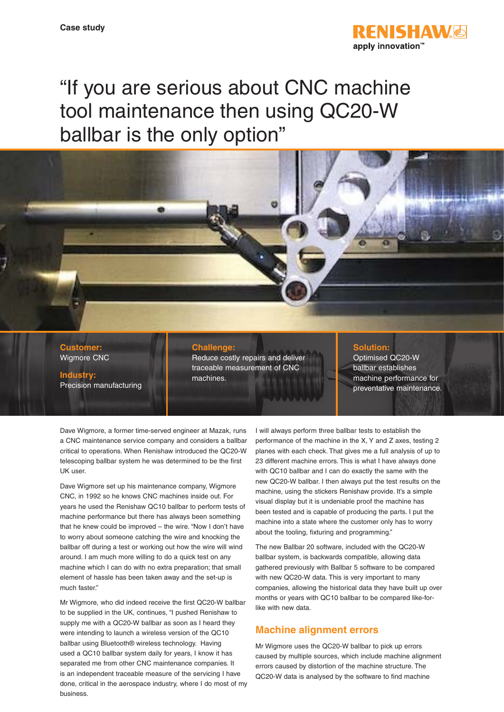

# "If you are serious about CNC machine tool maintenance then using QC20-W ballbar is the only option"



## **Customer:** Wigmore CNC

**Industry:**

Precision manufacturing

## **Challenge:**

Reduce costly repairs and deliver traceable measurement of CNC machines.

# **Solution:**

Optimised QC20-W ballbar establishes machine performance for preventative maintenance.

Dave Wigmore, a former time-served engineer at Mazak, runs a CNC maintenance service company and considers a ballbar critical to operations. When Renishaw introduced the QC20-W telescoping ballbar system he was determined to be the first UK user.

Dave Wigmore set up his maintenance company, Wigmore CNC, in 1992 so he knows CNC machines inside out. For years he used the Renishaw QC10 ballbar to perform tests of machine performance but there has always been something that he knew could be improved – the wire. "Now I don't have to worry about someone catching the wire and knocking the ballbar off during a test or working out how the wire will wind around. I am much more willing to do a quick test on any machine which I can do with no extra preparation; that small element of hassle has been taken away and the set-up is much faster."

Mr Wigmore, who did indeed receive the first QC20-W ballbar to be supplied in the UK, continues, "I pushed Renishaw to supply me with a QC20-W ballbar as soon as I heard they were intending to launch a wireless version of the QC10 ballbar using Bluetooth® wireless technology. Having used a QC10 ballbar system daily for years, I know it has separated me from other CNC maintenance companies. It is an independent traceable measure of the servicing I have done, critical in the aerospace industry, where I do most of my business.

I will always perform three ballbar tests to establish the performance of the machine in the X, Y and Z axes, testing 2 planes with each check. That gives me a full analysis of up to 23 different machine errors. This is what I have always done with QC10 ballbar and I can do exactly the same with the new QC20-W ballbar. I then always put the test results on the machine, using the stickers Renishaw provide. It's a simple visual display but it is undeniable proof the machine has been tested and is capable of producing the parts. I put the machine into a state where the customer only has to worry about the tooling, fixturing and programming."

The new Ballbar 20 software, included with the QC20-W ballbar system, is backwards compatible, allowing data gathered previously with Ballbar 5 software to be compared with new QC20-W data. This is very important to many companies, allowing the historical data they have built up over months or years with QC10 ballbar to be compared like-forlike with new data.

# **Machine alignment errors**

Mr Wigmore uses the QC20-W ballbar to pick up errors caused by multiple sources, which include machine alignment errors caused by distortion of the machine structure. The QC20-W data is analysed by the software to find machine